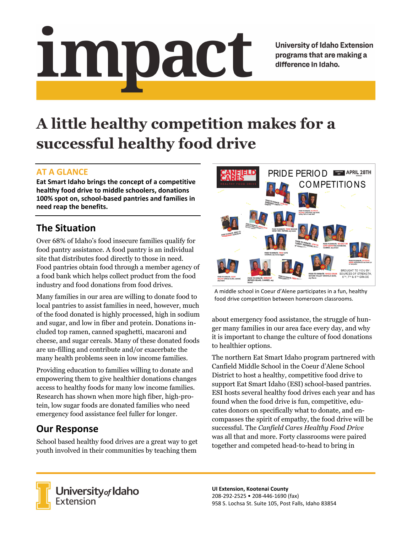# Impact

**University of Idaho Extension** programs that are making a difference in Idaho.

# **A little healthy competition makes for a successful healthy food drive**

#### **AT A GLANCE**

**Eat Smart Idaho brings the concept of a competitive healthy food drive to middle schoolers, donations 100% spot on, school‐based pantries and families in need reap the benefits.**

### **The Situation**

Over 68% of Idaho's food insecure families qualify for food pantry assistance. A food pantry is an individual site that distributes food directly to those in need. Food pantries obtain food through a member agency of a food bank which helps collect product from the food industry and food donations from food drives.

Many families in our area are willing to donate food to local pantries to assist families in need, however, much of the food donated is highly processed, high in sodium and sugar, and low in fiber and protein. Donations included top ramen, canned spaghetti, macaroni and cheese, and sugar cereals. Many of these donated foods are un-filling and contribute and/or exacerbate the many health problems seen in low income families.

Providing education to families willing to donate and empowering them to give healthier donations changes access to healthy foods for many low income families. Research has shown when more high fiber, high-protein, low sugar foods are donated families who need emergency food assistance feel fuller for longer.

## **Our Response**

School based healthy food drives are a great way to get youth involved in their communities by teaching them



A middle school in Coeur d'Alene participates in a fun, healthy food drive competition between homeroom classrooms.

about emergency food assistance, the struggle of hunger many families in our area face every day, and why it is important to change the culture of food donations to healthier options.

The northern Eat Smart Idaho program partnered with Canfield Middle School in the Coeur d'Alene School District to host a healthy, competitive food drive to support Eat Smart Idaho (ESI) school-based pantries. ESI hosts several healthy food drives each year and has found when the food drive is fun, competitive, educates donors on specifically what to donate, and encompasses the spirit of empathy, the food drive will be successful. The *Canfield Cares Healthy Food Drive* was all that and more. Forty classrooms were paired together and competed head-to-head to bring in



University<sub>of</sub> Idaho Extension